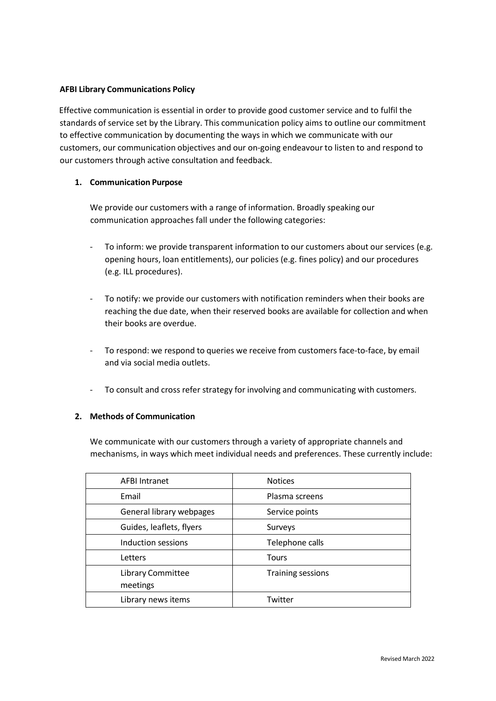## **AFBI Library Communications Policy**

Effective communication is essential in order to provide good customer service and to fulfil the standards of service set by the Library. This communication policy aims to outline our commitment to effective communication by documenting the ways in which we communicate with our customers, our communication objectives and our on‐going endeavour to listen to and respond to our customers through active consultation and feedback.

# **1. Communication Purpose**

We provide our customers with a range of information. Broadly speaking our communication approaches fall under the following categories:

- ‐ To inform: we provide transparent information to our customers about our services (e.g. opening hours, loan entitlements), our policies (e.g. fines policy) and our procedures (e.g. ILL procedures).
- ‐ To notify: we provide our customers with notification reminders when their books are reaching the due date, when their reserved books are available for collection and when their books are overdue.
- To respond: we respond to queries we receive from customers face-to-face, by email and via social media outlets.
- ‐ To consult and cross refer strategy for involving and communicating with customers.

# **2. Methods of Communication**

We communicate with our customers through a variety of appropriate channels and mechanisms, in ways which meet individual needs and preferences. These currently include:

| <b>AFBI Intranet</b>                 | <b>Notices</b>           |  |
|--------------------------------------|--------------------------|--|
| Email                                | Plasma screens           |  |
| General library webpages             | Service points           |  |
| Guides, leaflets, flyers             | Surveys                  |  |
| Induction sessions                   | Telephone calls          |  |
| Letters                              | <b>Tours</b>             |  |
| <b>Library Committee</b><br>meetings | <b>Training sessions</b> |  |
| Library news items                   | Twitter                  |  |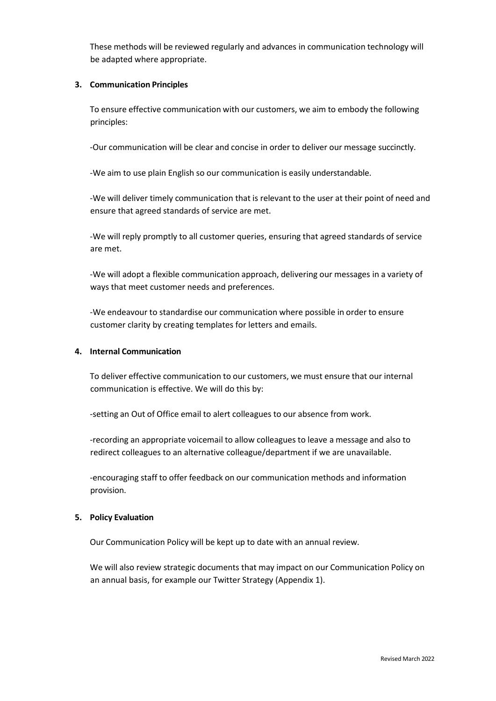These methods will be reviewed regularly and advances in communication technology will be adapted where appropriate.

## **3. Communication Principles**

To ensure effective communication with our customers, we aim to embody the following principles:

‐Our communication will be clear and concise in order to deliver our message succinctly.

‐We aim to use plain English so our communication is easily understandable.

‐We will deliver timely communication that is relevant to the user at their point of need and ensure that agreed standards of service are met.

‐We will reply promptly to all customer queries, ensuring that agreed standards of service are met.

‐We will adopt a flexible communication approach, delivering our messages in a variety of ways that meet customer needs and preferences.

‐We endeavour to standardise our communication where possible in order to ensure customer clarity by creating templates for letters and emails.

# **4. Internal Communication**

To deliver effective communication to our customers, we must ensure that our internal communication is effective. We will do this by:

‐setting an Out of Office email to alert colleagues to our absence from work.

‐recording an appropriate voicemail to allow colleagues to leave a message and also to redirect colleagues to an alternative colleague/department if we are unavailable.

‐encouraging staff to offer feedback on our communication methods and information provision.

# **5. Policy Evaluation**

Our Communication Policy will be kept up to date with an annual review.

We will also review strategic documents that may impact on our Communication Policy on an annual basis, for example our Twitter Strategy (Appendix 1).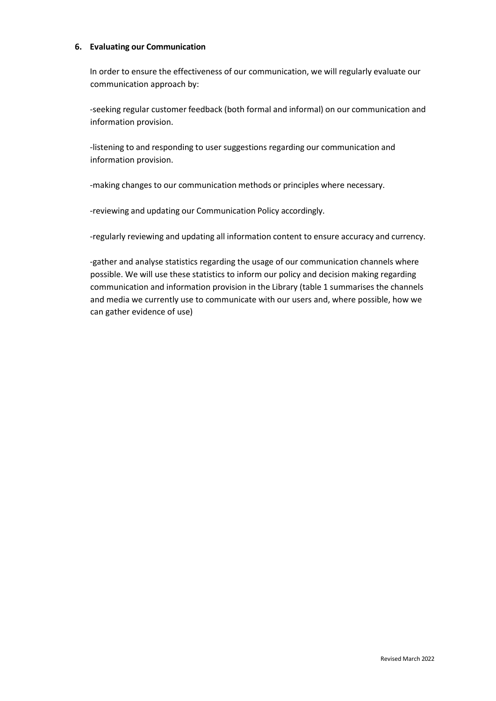#### **6. Evaluating our Communication**

In order to ensure the effectiveness of our communication, we will regularly evaluate our communication approach by:

‐seeking regular customer feedback (both formal and informal) on our communication and information provision.

‐listening to and responding to user suggestions regarding our communication and information provision.

‐making changes to our communication methods or principles where necessary.

‐reviewing and updating our Communication Policy accordingly.

‐regularly reviewing and updating all information content to ensure accuracy and currency.

‐gather and analyse statistics regarding the usage of our communication channels where possible. We will use these statistics to inform our policy and decision making regarding communication and information provision in the Library (table 1 summarises the channels and media we currently use to communicate with our users and, where possible, how we can gather evidence of use)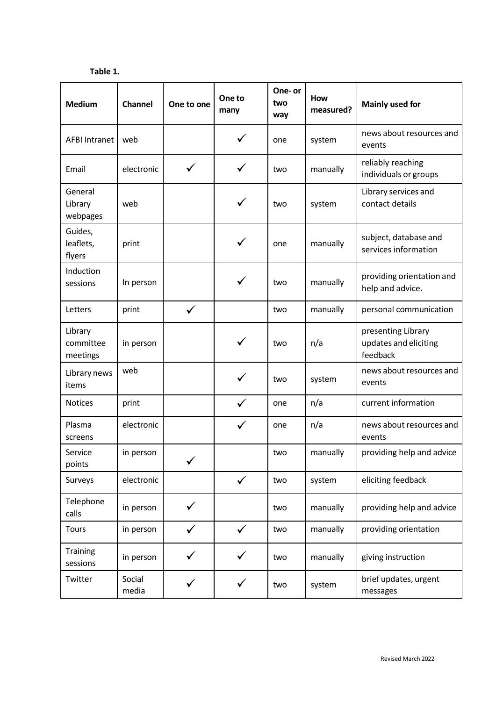**Table 1.**

| <b>Medium</b>                    | Channel         | One to one   | One to<br>many | One-or<br>two<br>way | <b>How</b><br>measured? | <b>Mainly used for</b>                                  |
|----------------------------------|-----------------|--------------|----------------|----------------------|-------------------------|---------------------------------------------------------|
| <b>AFBI Intranet</b>             | web             |              | $\checkmark$   | one                  | system                  | news about resources and<br>events                      |
| Email                            | electronic      | $\checkmark$ | ✓              | two                  | manually                | reliably reaching<br>individuals or groups              |
| General<br>Library<br>webpages   | web             |              | ✓              | two                  | system                  | Library services and<br>contact details                 |
| Guides,<br>leaflets,<br>flyers   | print           |              | ✓              | one                  | manually                | subject, database and<br>services information           |
| Induction<br>sessions            | In person       |              |                | two                  | manually                | providing orientation and<br>help and advice.           |
| Letters                          | print           | $\checkmark$ |                | two                  | manually                | personal communication                                  |
| Library<br>committee<br>meetings | in person       |              |                | two                  | n/a                     | presenting Library<br>updates and eliciting<br>feedback |
| Library news<br>items            | web             |              | $\checkmark$   | two                  | system                  | news about resources and<br>events                      |
| <b>Notices</b>                   | print           |              | $\checkmark$   | one                  | n/a                     | current information                                     |
| Plasma<br>screens                | electronic      |              | $\checkmark$   | one                  | n/a                     | news about resources and<br>events                      |
| Service<br>points                | in person       | $\checkmark$ |                | two                  | manually                | providing help and advice                               |
| Surveys                          | electronic      |              | $\checkmark$   | two                  | system                  | eliciting feedback                                      |
| Telephone<br>calls               | in person       | ✓            |                | two                  | manually                | providing help and advice                               |
| <b>Tours</b>                     | in person       | $\checkmark$ | $\checkmark$   | two                  | manually                | providing orientation                                   |
| <b>Training</b><br>sessions      | in person       | ✓            |                | two                  | manually                | giving instruction                                      |
| Twitter                          | Social<br>media | ✓            | $\checkmark$   | two                  | system                  | brief updates, urgent<br>messages                       |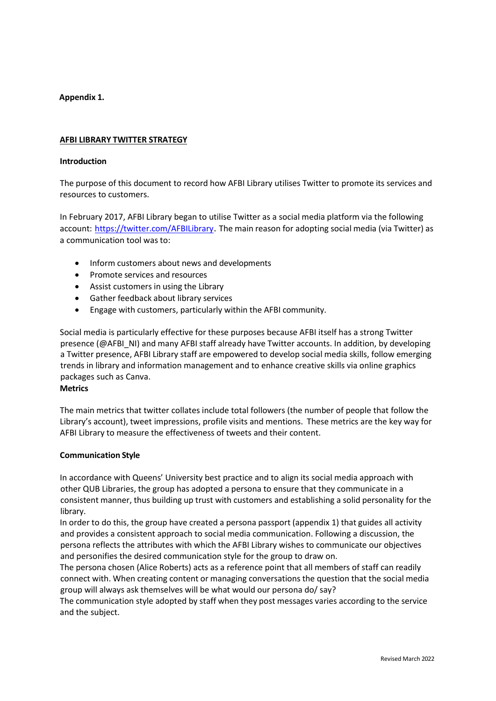# **Appendix 1.**

## **AFBI LIBRARY TWITTER STRATEGY**

#### **Introduction**

The purpose of this document to record how AFBI Library utilises Twitter to promote its services and resources to customers.

In February 2017, AFBI Library began to utilise Twitter as a social media platform via the following account: https://twitter.com/AFBILibrary. The main reason for adopting social media (via Twitter) as a communication tool was to:

- Inform customers about news and developments
- Promote services and resources
- Assist customers in using the Library
- Gather feedback about library services
- Engage with customers, particularly within the AFBI community.

Social media is particularly effective for these purposes because AFBI itself has a strong Twitter presence (@AFBI\_NI) and many AFBI staff already have Twitter accounts. In addition, by developing a Twitter presence, AFBI Library staff are empowered to develop social media skills, follow emerging trends in library and information management and to enhance creative skills via online graphics packages such as Canva.

#### **Metrics**

The main metrics that twitter collates include total followers (the number of people that follow the Library's account), tweet impressions, profile visits and mentions. These metrics are the key way for AFBI Library to measure the effectiveness of tweets and their content.

## **Communication Style**

In accordance with Queens' University best practice and to align its social media approach with other QUB Libraries, the group has adopted a persona to ensure that they communicate in a consistent manner, thus building up trust with customers and establishing a solid personality for the library.

In order to do this, the group have created a persona passport (appendix 1) that guides all activity and provides a consistent approach to social media communication. Following a discussion, the persona reflects the attributes with which the AFBI Library wishes to communicate our objectives and personifies the desired communication style for the group to draw on.

The persona chosen (Alice Roberts) acts as a reference point that all members of staff can readily connect with. When creating content or managing conversations the question that the social media group will always ask themselves will be what would our persona do/ say?

The communication style adopted by staff when they post messages varies according to the service and the subject.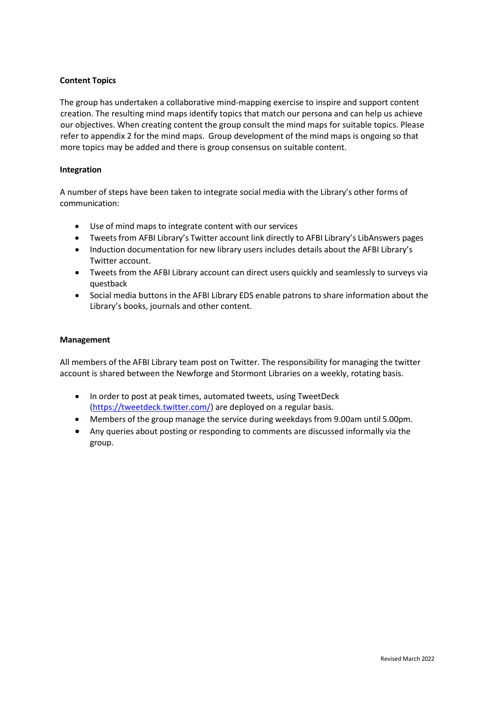# **Content Topics**

The group has undertaken a collaborative mind-mapping exercise to inspire and support content creation. The resulting mind maps identify topics that match our persona and can help us achieve our objectives. When creating content the group consult the mind maps for suitable topics. Please refer to appendix 2 for the mind maps. Group development of the mind maps is ongoing so that more topics may be added and there is group consensus on suitable content.

## **Integration**

A number of steps have been taken to integrate social media with the Library's other forms of communication:

- Use of mind maps to integrate content with our services
- Tweets from AFBI Library's Twitter account link directly to AFBI Library's LibAnswers pages
- Induction documentation for new library users includes details about the AFBI Library's Twitter account.
- Tweets from the AFBI Library account can direct users quickly and seamlessly to surveys via questback
- Social media buttons in the AFBI Library EDS enable patrons to share information about the Library's books, journals and other content.

#### **Management**

All members of the AFBI Library team post on Twitter. The responsibility for managing the twitter account is shared between the Newforge and Stormont Libraries on a weekly, rotating basis.

- In order to post at peak times, automated tweets, using TweetDeck [\(https://tweetdeck.twitter.com/\)](https://tweetdeck.twitter.com/) are deployed on a regular basis.
- Members of the group manage the service during weekdays from 9.00am until 5.00pm.
- Any queries about posting or responding to comments are discussed informally via the group.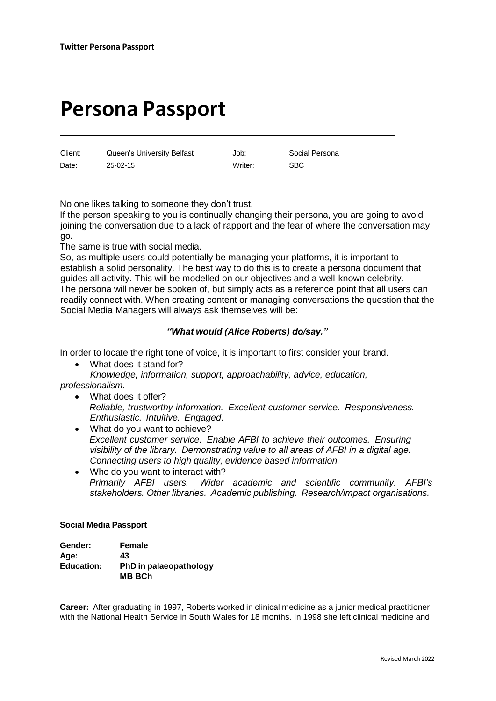# **Persona Passport**

Client: Cueen's University Belfast (Job: Social Persona Date: 25-02-15 Writer: SBC

No one likes talking to someone they don't trust.

If the person speaking to you is continually changing their persona, you are going to avoid joining the conversation due to a lack of rapport and the fear of where the conversation may go.

The same is true with social media.

So, as multiple users could potentially be managing your platforms, it is important to establish a solid personality. The best way to do this is to create a persona document that guides all activity. This will be modelled on our objectives and a well-known celebrity. The persona will never be spoken of, but simply acts as a reference point that all users can readily connect with. When creating content or managing conversations the question that the Social Media Managers will always ask themselves will be:

# *"What would (Alice Roberts) do/say."*

In order to locate the right tone of voice, it is important to first consider your brand.

- What does it stand for?
- *Knowledge, information, support, approachability, advice, education, professionalism*.
	- What does it offer? *Reliable, trustworthy information. Excellent customer service. Responsiveness. Enthusiastic. Intuitive. Engaged*.
	- What do you want to achieve? *Excellent customer service. Enable AFBI to achieve their outcomes. Ensuring visibility of the library. Demonstrating value to all areas of AFBI in a digital age. Connecting users to high quality, evidence based information.*
	- Who do you want to interact with? *Primarily AFBI users. Wider academic and scientific community. AFBI's stakeholders. Other libraries. Academic publishing. Research/impact organisations.*

## **Social Media Passport**

| Gender:           | Female                                  |
|-------------------|-----------------------------------------|
| Age:              | 43                                      |
| <b>Education:</b> | PhD in palaeopathology<br><b>MB BCh</b> |

**Career:** After graduating in 1997, Roberts worked in clinical medicine as a junior medical practitioner with the National [Health Service in](https://en.wikipedia.org/wiki/National_Health_Service) South [Wales f](https://en.wikipedia.org/wiki/South_Wales)or 18 months. In 1998 she left clinical medicine and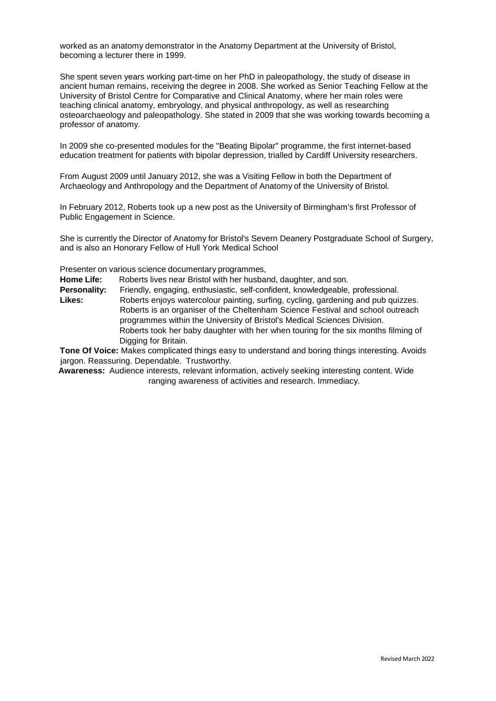worked as an anatomy demonstrator in the Anatomy Department at the [University](https://en.wikipedia.org/wiki/University_of_Bristol) of Bristol, becoming a lecturer there in 1999.

She spent seven years working part-time on her PhD in [paleopathology, t](https://en.wikipedia.org/wiki/Paleopathology)he study of disease in ancient human remains, receiving the degree in 2008. She worked as Senior Teaching Fellow at the University of Bristol Centre for Comparative and Clinical Anatomy, where her main roles were teaching clinical [anatomy, embryology, a](https://en.wikipedia.org/wiki/Anatomy)nd [physical anthropology, a](https://en.wikipedia.org/wiki/Physical_anthropology)s well as researching [osteoarchaeology](https://en.wikipedia.org/wiki/Bioarchaeology) and paleopathology. She stated in 2009 that she was working towards becoming a professor of anatomy.

In 2009 she co-presented modules for the "Beating Bipolar" programme, the first internet-based education treatment for patients with bipolar [depression,](https://en.wikipedia.org/wiki/Bipolar_depression) trialled by Cardiff [University](https://en.wikipedia.org/wiki/Cardiff_University) researchers.

From August 2009 until January 2012, she was a Visiting Fellow in both the Department of Archaeology and Anthropology and the Department of Anatomy of the [University](https://en.wikipedia.org/wiki/University_of_Bristol) of Bristol.

In February 2012, Roberts took up a new post as the University of [Birmingham's](https://en.wikipedia.org/wiki/University_of_Birmingham) first Professor of Public Engagement in Science.

She is currently the Director of Anatomy for Bristol's Severn Deanery Postgraduate School of Surgery, and is also an Honorary Fellow of [Hull York Medical School](https://en.wikipedia.org/wiki/Hull_York_Medical_School)

Presenter on various science documentary programmes,

**Home Life:** Roberts lives near Bristol with her husband, daughter, and son.

**Personality:** Friendly, engaging, enthusiastic, self-confident, knowledgeable, professional.

**Likes:** Roberts enjoys watercolour painting, surfing, cycling, gardening and pub quizzes. Roberts is an organiser of the Cheltenham Science Festival and school outreach programmes within the University of Bristol's Medical Sciences Division. Roberts took her baby daughter with her when touring for the six months filming of Digging for Britain.

**Tone Of Voice:** Makes complicated things easy to understand and boring things interesting. Avoids jargon. Reassuring. Dependable. Trustworthy.

**Awareness:** Audience interests, relevant information, actively seeking interesting content. Wide ranging awareness of activities and research. Immediacy.